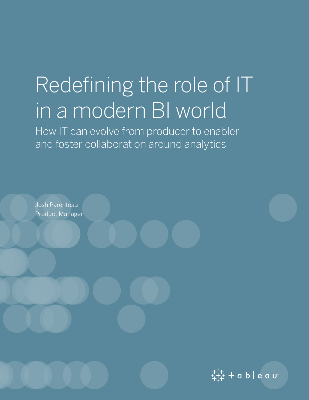# Redefining the role of IT in a modern BI world

How IT can evolve from producer to enabler and foster collaboration around analytics

Josh Parenteau Product Manager

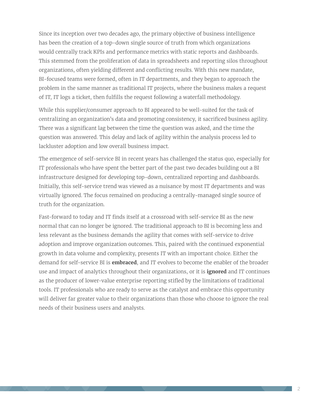Since its inception over two decades ago, the primary objective of business intelligence has been the creation of a top-down single source of truth from which organizations would centrally track KPIs and performance metrics with static reports and dashboards. This stemmed from the proliferation of data in spreadsheets and reporting silos throughout organizations, often yielding different and conflicting results. With this new mandate, BI-focused teams were formed, often in IT departments, and they began to approach the problem in the same manner as traditional IT projects, where the business makes a request of IT, IT logs a ticket, then fulfills the request following a waterfall methodology.

While this supplier/consumer approach to BI appeared to be well-suited for the task of centralizing an organization's data and promoting consistency, it sacrificed business agility. There was a significant lag between the time the question was asked, and the time the question was answered. This delay and lack of agility within the analysis process led to lackluster adoption and low overall business impact.

The emergence of self-service BI in recent years has challenged the status quo, especially for IT professionals who have spent the better part of the past two decades building out a BI infrastructure designed for developing top-down, centralized reporting and dashboards. Initially, this self-service trend was viewed as a nuisance by most IT departments and was virtually ignored. The focus remained on producing a centrally-managed single source of truth for the organization.

Fast-forward to today and IT finds itself at a crossroad with self-service BI as the new normal that can no longer be ignored. The traditional approach to BI is becoming less and less relevant as the business demands the agility that comes with self-service to drive adoption and improve organization outcomes. This, paired with the continued exponential growth in data volume and complexity, presents IT with an important choice. Either the demand for self-service BI is **embraced**, and IT evolves to become the enabler of the broader use and impact of analytics throughout their organizations, or it is **ignored** and IT continues as the producer of lower-value enterprise reporting stifled by the limitations of traditional tools. IT professionals who are ready to serve as the catalyst and embrace this opportunity will deliver far greater value to their organizations than those who choose to ignore the real needs of their business users and analysts.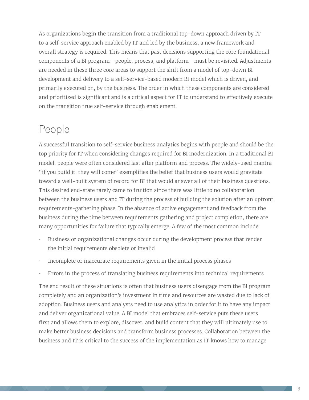As organizations begin the transition from a traditional top-down approach driven by IT to a self-service approach enabled by IT and led by the business, a new framework and overall strategy is required. This means that past decisions supporting the core foundational components of a BI program—people, process, and platform—must be revisited. Adjustments are needed in these three core areas to support the shift from a model of top-down BI development and delivery to a self-service-based modern BI model which is driven, and primarily executed on, by the business. The order in which these components are considered and prioritized is significant and is a critical aspect for IT to understand to effectively execute on the transition true self-service through enablement.

#### People

A successful transition to self-service business analytics begins with people and should be the top priority for IT when considering changes required for BI modernization. In a traditional BI model, people were often considered last after platform and process. The widely-used mantra "if you build it, they will come" exemplifies the belief that business users would gravitate toward a well-built system of record for BI that would answer all of their business questions. This desired end-state rarely came to fruition since there was little to no collaboration between the business users and IT during the process of building the solution after an upfront requirements-gathering phase. In the absence of active engagement and feedback from the business during the time between requirements gathering and project completion, there are many opportunities for failure that typically emerge. A few of the most common include:

- Business or organizational changes occur during the development process that render the initial requirements obsolete or invalid
- Incomplete or inaccurate requirements given in the initial process phases
- Errors in the process of translating business requirements into technical requirements

The end result of these situations is often that business users disengage from the BI program completely and an organization's investment in time and resources are wasted due to lack of adoption. Business users and analysts need to use analytics in order for it to have any impact and deliver organizational value. A BI model that embraces self-service puts these users first and allows them to explore, discover, and build content that they will ultimately use to make better business decisions and transform business processes. Collaboration between the business and IT is critical to the success of the implementation as IT knows how to manage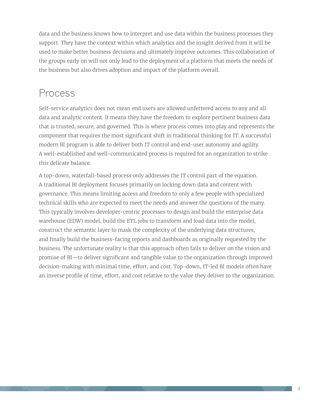data and the business knows how to interpret and use data within the business processes they support. They have the context within which analytics and the insight derived from it will be used to make better business decisions and ultimately improve outcomes. This collaboration of the groups early on will not only lead to the deployment of a platform that meets the needs of the business but also drives adoption and impact of the platform overall.

#### Process

Self-service analytics does not mean end users are allowed unfettered access to any and all data and analytic content. It means they have the freedom to explore pertinent business data that is trusted, secure, and governed. This is where process comes into play and represents the component that requires the most significant shift in traditional thinking for IT. A successful modern BI program is able to deliver both IT control and end-user autonomy and agility. A well-established and well-communicated process is required for an organization to strike this delicate balance.

A top-down, waterfall-based process only addresses the IT control part of the equation. A traditional BI deployment focuses primarily on locking down data and content with governance. This means limiting access and freedom to only a few people with specialized technical skills who are expected to meet the needs and answer the questions of the many. This typically involves developer-centric processes to design and build the enterprise data warehouse (EDW) model, build the ETL jobs to transform and load data into the model, construct the semantic layer to mask the complexity of the underlying data structures, and finally build the business-facing reports and dashboards as originally requested by the business. The unfortunate reality is that this approach often fails to deliver on the vision and promise of BI—to deliver significant and tangible value to the organization through improved decision-making with minimal time, effort, and cost. Top-down, IT-led BI models often have an inverse profile of time, effort, and cost relative to the value they deliver to the organization.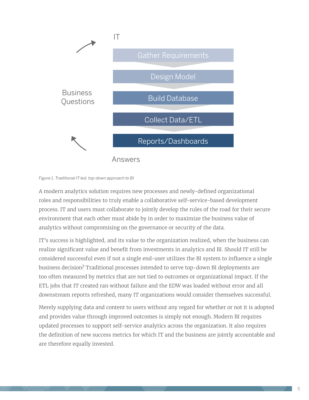

*Figure 1. Traditional IT-led, top-down approach to BI*

A modern analytics solution requires new processes and newly-defined organizational roles and responsibilities to truly enable a collaborative self-service-based development process. IT and users must collaborate to jointly develop the rules of the road for their secure environment that each other must abide by in order to maximize the business value of analytics without compromising on the governance or security of the data.

IT's success is highlighted, and its value to the organization realized, when the business can realize significant value and benefit from investments in analytics and BI. Should IT still be considered successful even if not a single end-user utilizes the BI system to influence a single business decision? Traditional processes intended to serve top-down BI deployments are too often measured by metrics that are not tied to outcomes or organizational impact. If the ETL jobs that IT created ran without failure and the EDW was loaded without error and all downstream reports refreshed, many IT organizations would consider themselves successful.

Merely supplying data and content to users without any regard for whether or not it is adopted and provides value through improved outcomes is simply not enough. Modern BI requires updated processes to support self-service analytics across the organization. It also requires the definition of new success metrics for which IT and the business are jointly accountable and are therefore equally invested.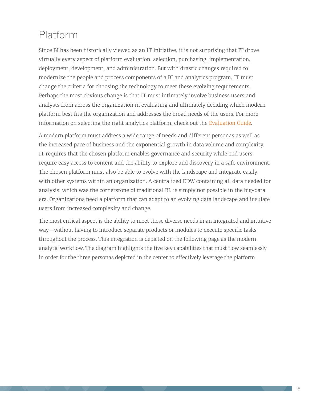# Platform

Since BI has been historically viewed as an IT initiative, it is not surprising that IT drove virtually every aspect of platform evaluation, selection, purchasing, implementation, deployment, development, and administration. But with drastic changes required to modernize the people and process components of a BI and analytics program, IT must change the criteria for choosing the technology to meet these evolving requirements. Perhaps the most obvious change is that IT must intimately involve business users and analysts from across the organization in evaluating and ultimately deciding which modern platform best fits the organization and addresses the broad needs of the users. For more information on selecting the right analytics platform, check out the [Evaluation Guide.](https://www.tableau.com/asset/evaluation-guide-how-choose-right-modern-bi-analytics-platform)

A modern platform must address a wide range of needs and different personas as well as the increased pace of business and the exponential growth in data volume and complexity. IT requires that the chosen platform enables governance and security while end users require easy access to content and the ability to explore and discovery in a safe environment. The chosen platform must also be able to evolve with the landscape and integrate easily with other systems within an organization. A centralized EDW containing all data needed for analysis, which was the cornerstone of traditional BI, is simply not possible in the big-data era. Organizations need a platform that can adapt to an evolving data landscape and insulate users from increased complexity and change.

The most critical aspect is the ability to meet these diverse needs in an integrated and intuitive way—without having to introduce separate products or modules to execute specific tasks throughout the process. This integration is depicted on the following page as the modern analytic workflow. The diagram highlights the five key capabilities that must flow seamlessly in order for the three personas depicted in the center to effectively leverage the platform.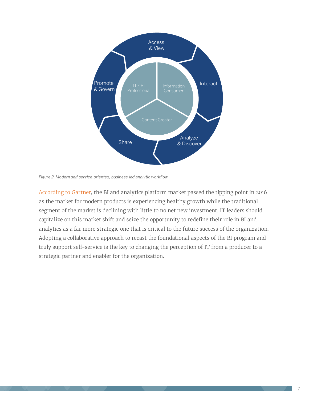

*Figure 2. Modern self-service-oriented, business-led analytic workflow*

[According to Gartner,](https://www.tableau.com/asset/gartner-magic-quadrant-2016) the BI and analytics platform market passed the tipping point in 2016 as the market for modern products is experiencing healthy growth while the traditional segment of the market is declining with little to no net new investment. IT leaders should capitalize on this market shift and seize the opportunity to redefine their role in BI and analytics as a far more strategic one that is critical to the future success of the organization. Adopting a collaborative approach to recast the foundational aspects of the BI program and truly support self-service is the key to changing the perception of IT from a producer to a strategic partner and enabler for the organization.